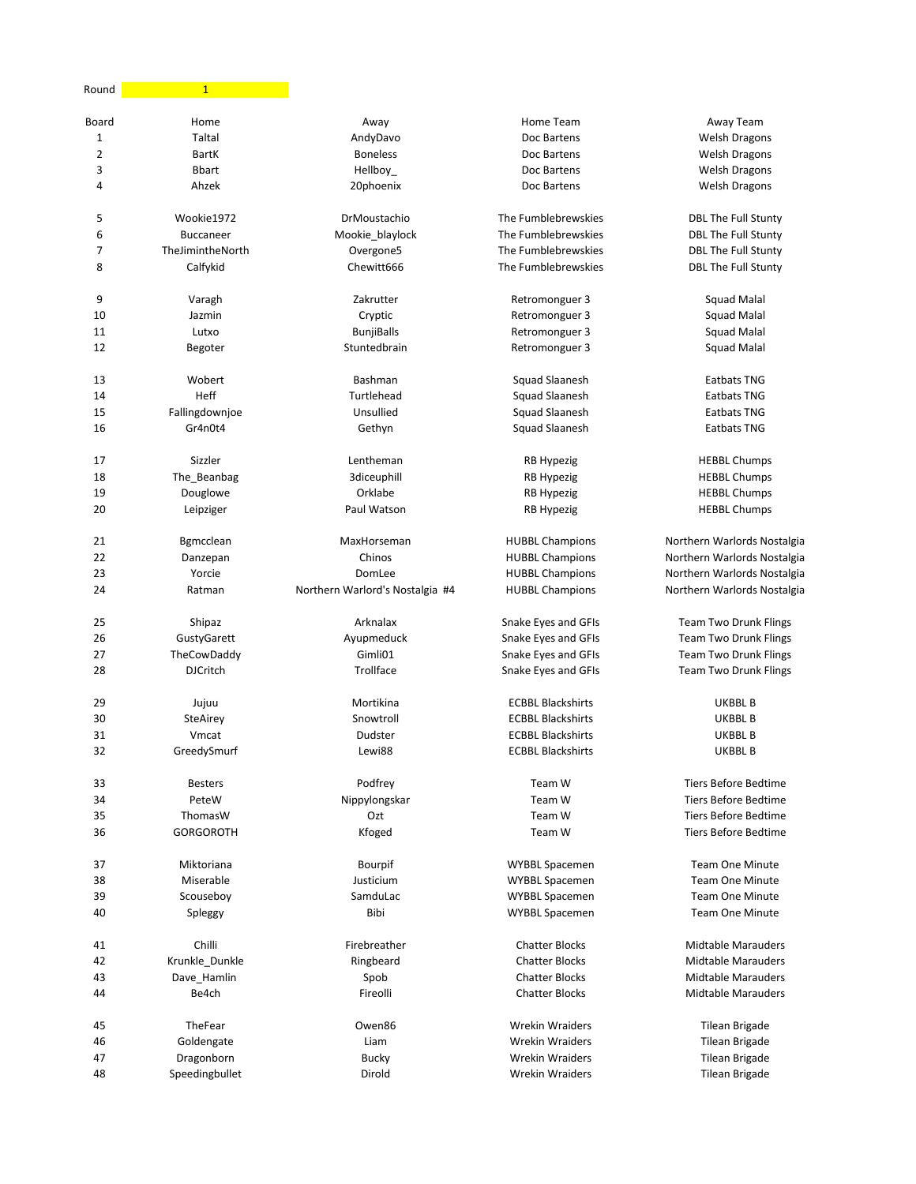| Round          | $\mathbf{1}$     |                                 |                                                |                                                          |
|----------------|------------------|---------------------------------|------------------------------------------------|----------------------------------------------------------|
| Board          | Home             | Away                            | Home Team                                      | Away Team                                                |
| $\mathbf 1$    | Taltal           | AndyDavo                        | Doc Bartens                                    | <b>Welsh Dragons</b>                                     |
| $\overline{2}$ | <b>BartK</b>     | <b>Boneless</b>                 | Doc Bartens                                    | <b>Welsh Dragons</b>                                     |
| 3              | <b>Bbart</b>     | Hellboy_                        | Doc Bartens                                    | <b>Welsh Dragons</b>                                     |
| 4              | Ahzek            | 20phoenix                       | Doc Bartens                                    | <b>Welsh Dragons</b>                                     |
| 5              | Wookie1972       | DrMoustachio                    | The Fumblebrewskies                            | <b>DBL The Full Stunty</b>                               |
| 6              | <b>Buccaneer</b> | Mookie_blaylock                 | The Fumblebrewskies                            | <b>DBL The Full Stunty</b>                               |
| 7              | TheJimintheNorth |                                 |                                                |                                                          |
| 8              | Calfykid         | Overgone5<br>Chewitt666         | The Fumblebrewskies<br>The Fumblebrewskies     | <b>DBL The Full Stunty</b><br><b>DBL The Full Stunty</b> |
|                |                  |                                 |                                                |                                                          |
| 9              | Varagh           | Zakrutter                       | Retromonguer 3                                 | Squad Malal                                              |
| 10             | Jazmin           | Cryptic                         | Retromonguer 3                                 | <b>Squad Malal</b>                                       |
| 11             | Lutxo            | <b>BunjiBalls</b>               | Retromonguer 3                                 | Squad Malal                                              |
| 12             | Begoter          | Stuntedbrain                    | Retromonguer 3                                 | Squad Malal                                              |
| 13             | Wobert           | Bashman                         | Squad Slaanesh                                 | <b>Eatbats TNG</b>                                       |
| 14             | Heff             | Turtlehead                      | Squad Slaanesh                                 | <b>Eatbats TNG</b>                                       |
| 15             | Fallingdownjoe   | Unsullied                       | Squad Slaanesh                                 | <b>Eatbats TNG</b>                                       |
| 16             | Gr4n0t4          | Gethyn                          | Squad Slaanesh                                 | Eatbats TNG                                              |
|                |                  |                                 |                                                |                                                          |
| 17             | Sizzler          | Lentheman                       | RB Hypezig                                     | <b>HEBBL Chumps</b>                                      |
| 18             | The_Beanbag      | 3diceuphill                     | <b>RB Hypezig</b>                              | <b>HEBBL Chumps</b>                                      |
| 19             | Douglowe         | Orklabe                         | RB Hypezig                                     | <b>HEBBL Chumps</b>                                      |
| 20             | Leipziger        | Paul Watson                     | RB Hypezig                                     | <b>HEBBL Chumps</b>                                      |
| 21             | Bgmcclean        | MaxHorseman                     | <b>HUBBL Champions</b>                         | Northern Warlords Nostalgia                              |
| 22             | Danzepan         | Chinos                          | <b>HUBBL Champions</b>                         | Northern Warlords Nostalgia                              |
| 23             | Yorcie           | DomLee                          | <b>HUBBL Champions</b>                         | Northern Warlords Nostalgia                              |
| 24             | Ratman           | Northern Warlord's Nostalgia #4 | <b>HUBBL Champions</b>                         | Northern Warlords Nostalgia                              |
| 25             | Shipaz           | Arknalax                        | Snake Eyes and GFIs                            | <b>Team Two Drunk Flings</b>                             |
| 26             | GustyGarett      | Ayupmeduck                      | Snake Eyes and GFIs                            | <b>Team Two Drunk Flings</b>                             |
| 27             | TheCowDaddy      | Gimli01                         | Snake Eyes and GFIs                            | <b>Team Two Drunk Flings</b>                             |
| 28             | <b>DJCritch</b>  | Trollface                       | Snake Eyes and GFIs                            | <b>Team Two Drunk Flings</b>                             |
|                |                  |                                 |                                                |                                                          |
| 29             | Jujuu            | Mortikina                       | <b>ECBBL Blackshirts</b>                       | UKBBL B                                                  |
| 30             | SteAirey         | Snowtroll                       | <b>ECBBL Blackshirts</b>                       | UKBBL B                                                  |
| 31             | Vmcat            | Dudster                         | <b>ECBBL Blackshirts</b>                       | UKBBL B                                                  |
| 32             | GreedySmurf      | Lewi88                          | <b>ECBBL Blackshirts</b>                       | <b>UKBBL B</b>                                           |
| 33             | <b>Besters</b>   | Podfrey                         | Team W                                         | <b>Tiers Before Bedtime</b>                              |
| 34             | PeteW            | Nippylongskar                   | Team W                                         | <b>Tiers Before Bedtime</b>                              |
| 35             | ThomasW          | Ozt                             | Team W                                         | Tiers Before Bedtime                                     |
| 36             | <b>GORGOROTH</b> | Kfoged                          | Team W                                         | <b>Tiers Before Bedtime</b>                              |
| 37             | Miktoriana       | Bourpif                         | WYBBL Spacemen                                 | <b>Team One Minute</b>                                   |
| 38             | Miserable        | Justicium                       |                                                | <b>Team One Minute</b>                                   |
| 39             | Scouseboy        | SamduLac                        | <b>WYBBL Spacemen</b>                          | <b>Team One Minute</b>                                   |
| 40             |                  | Bibi                            | <b>WYBBL Spacemen</b><br><b>WYBBL Spacemen</b> | <b>Team One Minute</b>                                   |
|                | Spleggy          |                                 |                                                |                                                          |
| 41             | Chilli           | Firebreather                    | <b>Chatter Blocks</b>                          | <b>Midtable Marauders</b>                                |
| 42             | Krunkle_Dunkle   | Ringbeard                       | <b>Chatter Blocks</b>                          | <b>Midtable Marauders</b>                                |
| 43             | Dave_Hamlin      | Spob                            | <b>Chatter Blocks</b>                          | <b>Midtable Marauders</b>                                |
| 44             | Be4ch            | Fireolli                        | <b>Chatter Blocks</b>                          | <b>Midtable Marauders</b>                                |
| 45             | TheFear          | Owen86                          | <b>Wrekin Wraiders</b>                         | Tilean Brigade                                           |
| 46             | Goldengate       | Liam                            | <b>Wrekin Wraiders</b>                         | Tilean Brigade                                           |
| 47             | Dragonborn       | <b>Bucky</b>                    | <b>Wrekin Wraiders</b>                         | Tilean Brigade                                           |
| 48             | Speedingbullet   | Dirold                          | <b>Wrekin Wraiders</b>                         | <b>Tilean Brigade</b>                                    |
|                |                  |                                 |                                                |                                                          |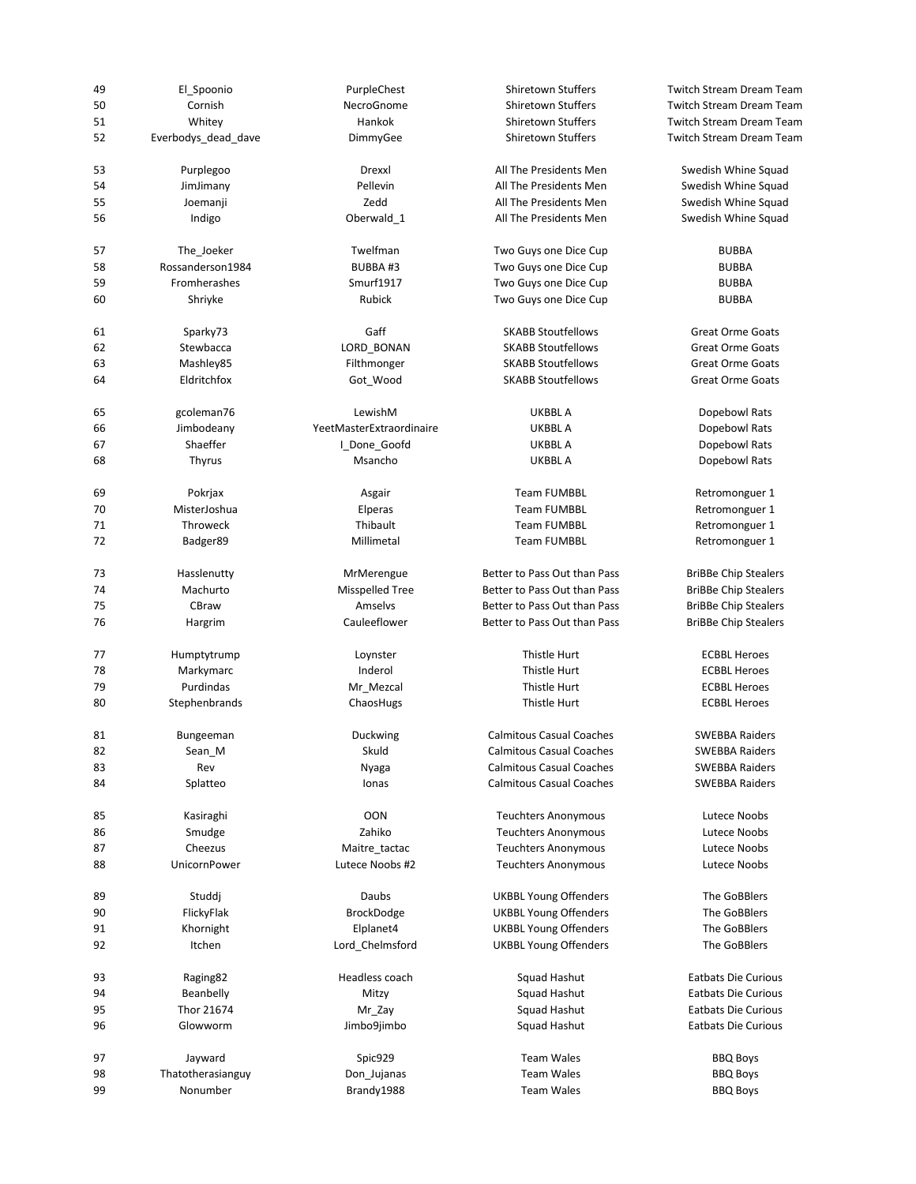| 49 | El_Spoonio          | PurpleChest              | Shiretown Stuffers              | <b>Twitch Stream Dream Team</b> |
|----|---------------------|--------------------------|---------------------------------|---------------------------------|
| 50 | Cornish             | NecroGnome               | Shiretown Stuffers              | <b>Twitch Stream Dream Team</b> |
| 51 | Whitey              | Hankok                   | Shiretown Stuffers              | <b>Twitch Stream Dream Team</b> |
| 52 | Everbodys dead dave | DimmyGee                 | Shiretown Stuffers              | <b>Twitch Stream Dream Team</b> |
| 53 | Purplegoo           | Drexxl                   | All The Presidents Men          | Swedish Whine Squad             |
| 54 | JimJimany           | Pellevin                 | All The Presidents Men          | Swedish Whine Squad             |
| 55 | Joemanji            | Zedd                     | All The Presidents Men          | Swedish Whine Squad             |
| 56 | Indigo              | Oberwald_1               | All The Presidents Men          | Swedish Whine Squad             |
| 57 | The Joeker          | Twelfman                 | Two Guys one Dice Cup           | <b>BUBBA</b>                    |
| 58 | Rossanderson1984    | BUBBA #3                 | Two Guys one Dice Cup           | <b>BUBBA</b>                    |
| 59 | <b>Fromherashes</b> | Smurf1917                | Two Guys one Dice Cup           | <b>BUBBA</b>                    |
| 60 | Shriyke             | Rubick                   | Two Guys one Dice Cup           | <b>BUBBA</b>                    |
| 61 | Sparky73            | Gaff                     | <b>SKABB Stoutfellows</b>       | <b>Great Orme Goats</b>         |
| 62 | Stewbacca           | LORD_BONAN               | <b>SKABB Stoutfellows</b>       | <b>Great Orme Goats</b>         |
| 63 | Mashley85           | Filthmonger              | <b>SKABB Stoutfellows</b>       | <b>Great Orme Goats</b>         |
| 64 | Eldritchfox         | Got_Wood                 | <b>SKABB Stoutfellows</b>       | <b>Great Orme Goats</b>         |
| 65 | gcoleman76          | LewishM                  | UKBBL A                         | Dopebowl Rats                   |
| 66 | Jimbodeany          | YeetMasterExtraordinaire | UKBBL A                         | Dopebowl Rats                   |
| 67 | Shaeffer            | I_Done_Goofd             | <b>UKBBLA</b>                   | Dopebowl Rats                   |
| 68 | <b>Thyrus</b>       | Msancho                  | <b>UKBBL A</b>                  | Dopebowl Rats                   |
| 69 | Pokrjax             | Asgair                   | <b>Team FUMBBL</b>              | Retromonguer 1                  |
| 70 | MisterJoshua        | Elperas                  | <b>Team FUMBBL</b>              | Retromonguer 1                  |
| 71 | Throweck            | Thibault                 | <b>Team FUMBBL</b>              | Retromonguer 1                  |
| 72 | Badger89            | Millimetal               | <b>Team FUMBBL</b>              | Retromonguer 1                  |
| 73 | Hasslenutty         | MrMerengue               | Better to Pass Out than Pass    | <b>BriBBe Chip Stealers</b>     |
| 74 | Machurto            | <b>Misspelled Tree</b>   | Better to Pass Out than Pass    | <b>BriBBe Chip Stealers</b>     |
| 75 | CBraw               | Amselvs                  | Better to Pass Out than Pass    | <b>BriBBe Chip Stealers</b>     |
| 76 | Hargrim             | Cauleeflower             | Better to Pass Out than Pass    | <b>BriBBe Chip Stealers</b>     |
| 77 | Humptytrump         | Loynster                 | Thistle Hurt                    | <b>ECBBL Heroes</b>             |
| 78 | Markymarc           | Inderol                  | Thistle Hurt                    | <b>ECBBL Heroes</b>             |
| 79 | Purdindas           | Mr_Mezcal                | Thistle Hurt                    | <b>ECBBL Heroes</b>             |
| 80 | Stephenbrands       | ChaosHugs                | Thistle Hurt                    | <b>ECBBL Heroes</b>             |
| 81 | Bungeeman           | Duckwing                 | <b>Calmitous Casual Coaches</b> | <b>SWEBBA Raiders</b>           |
| 82 | Sean_M              | Skuld                    | <b>Calmitous Casual Coaches</b> | <b>SWEBBA Raiders</b>           |
| 83 | Rev                 | Nyaga                    | <b>Calmitous Casual Coaches</b> | <b>SWEBBA Raiders</b>           |
| 84 | Splatteo            | Ionas                    | <b>Calmitous Casual Coaches</b> | <b>SWEBBA Raiders</b>           |
| 85 | Kasiraghi           | OON                      | <b>Teuchters Anonymous</b>      | Lutece Noobs                    |
| 86 | Smudge              | Zahiko                   | <b>Teuchters Anonymous</b>      | Lutece Noobs                    |
| 87 | Cheezus             | Maitre_tactac            | <b>Teuchters Anonymous</b>      | Lutece Noobs                    |
| 88 | UnicornPower        | Lutece Noobs #2          | <b>Teuchters Anonymous</b>      | Lutece Noobs                    |
| 89 | Studdj              | Daubs                    | <b>UKBBL Young Offenders</b>    | The GoBBlers                    |
| 90 | FlickyFlak          | BrockDodge               | <b>UKBBL Young Offenders</b>    | The GoBBlers                    |
| 91 | Khornight           | Elplanet4                | <b>UKBBL Young Offenders</b>    | The GoBBlers                    |
| 92 | Itchen              | Lord_Chelmsford          | <b>UKBBL Young Offenders</b>    | The GoBBlers                    |
| 93 | Raging82            | Headless coach           | Squad Hashut                    | <b>Eatbats Die Curious</b>      |
| 94 | Beanbelly           | Mitzy                    | Squad Hashut                    | Eatbats Die Curious             |
| 95 | Thor 21674          | Mr_Zay                   | Squad Hashut                    | Eatbats Die Curious             |
| 96 | Glowworm            | Jimbo9jimbo              | Squad Hashut                    | <b>Eatbats Die Curious</b>      |
| 97 | Jayward             | Spic929                  | <b>Team Wales</b>               | <b>BBQ Boys</b>                 |
| 98 | Thatotherasianguy   | Don_Jujanas              | <b>Team Wales</b>               | <b>BBQ Boys</b>                 |
| 99 | Nonumber            | Brandy1988               | <b>Team Wales</b>               | <b>BBQ Boys</b>                 |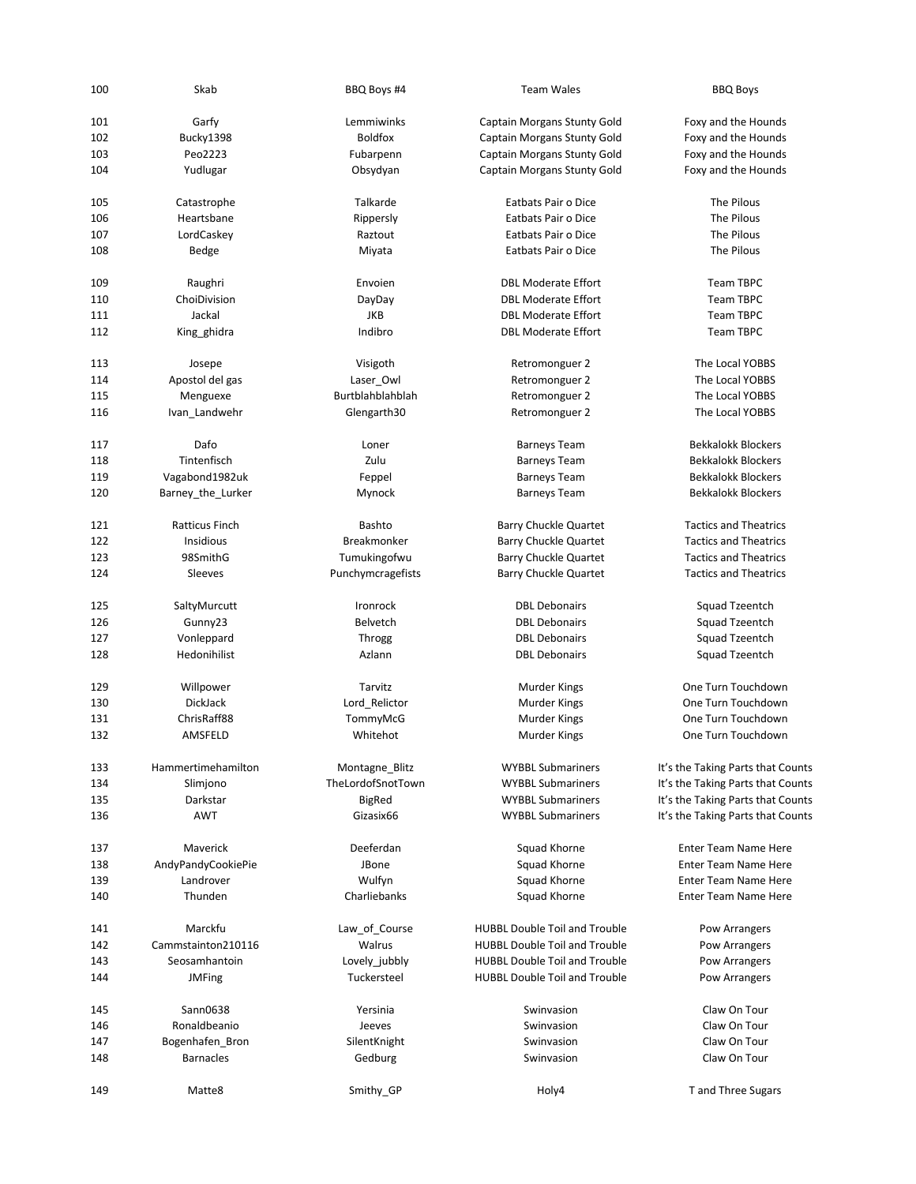| 100 | Skab                  | BBQ Boys #4        | <b>Team Wales</b>                    | <b>BBQ Boys</b>                   |
|-----|-----------------------|--------------------|--------------------------------------|-----------------------------------|
| 101 | Garfy                 | Lemmiwinks         | Captain Morgans Stunty Gold          | Foxy and the Hounds               |
| 102 | Bucky1398             | <b>Boldfox</b>     | Captain Morgans Stunty Gold          | Foxy and the Hounds               |
| 103 | Peo2223               | Fubarpenn          | Captain Morgans Stunty Gold          | Foxy and the Hounds               |
| 104 | Yudlugar              | Obsydyan           | Captain Morgans Stunty Gold          | Foxy and the Hounds               |
| 105 | Catastrophe           | Talkarde           | Eatbats Pair o Dice                  | The Pilous                        |
| 106 | Heartsbane            | Rippersly          | Eatbats Pair o Dice                  | The Pilous                        |
| 107 | LordCaskey            | Raztout            | Eatbats Pair o Dice                  | The Pilous                        |
| 108 | Bedge                 | Miyata             | Eatbats Pair o Dice                  | The Pilous                        |
| 109 | Raughri               | Envoien            | <b>DBL Moderate Effort</b>           | <b>Team TBPC</b>                  |
| 110 | ChoiDivision          | DayDay             | <b>DBL Moderate Effort</b>           | <b>Team TBPC</b>                  |
| 111 | Jackal                | JKB                | <b>DBL Moderate Effort</b>           | <b>Team TBPC</b>                  |
| 112 | King ghidra           | Indibro            | <b>DBL Moderate Effort</b>           | <b>Team TBPC</b>                  |
| 113 | Josepe                | Visigoth           | Retromonguer 2                       | The Local YOBBS                   |
| 114 | Apostol del gas       | Laser_Owl          | Retromonguer 2                       | The Local YOBBS                   |
| 115 | Menguexe              | Burtblahblahblah   | Retromonguer 2                       | The Local YOBBS                   |
| 116 | Ivan_Landwehr         | Glengarth30        | Retromonguer 2                       | The Local YOBBS                   |
| 117 | Dafo                  | Loner              | <b>Barneys Team</b>                  | <b>Bekkalokk Blockers</b>         |
| 118 | Tintenfisch           | Zulu               | <b>Barneys Team</b>                  | <b>Bekkalokk Blockers</b>         |
| 119 | Vagabond1982uk        | Feppel             | <b>Barneys Team</b>                  | <b>Bekkalokk Blockers</b>         |
| 120 | Barney_the_Lurker     | Mynock             | <b>Barneys Team</b>                  | <b>Bekkalokk Blockers</b>         |
| 121 | <b>Ratticus Finch</b> | Bashto             | Barry Chuckle Quartet                | <b>Tactics and Theatrics</b>      |
| 122 | Insidious             | <b>Breakmonker</b> | <b>Barry Chuckle Quartet</b>         | <b>Tactics and Theatrics</b>      |
| 123 | 98SmithG              | Tumukingofwu       | <b>Barry Chuckle Quartet</b>         | <b>Tactics and Theatrics</b>      |
| 124 | Sleeves               | Punchymcragefists  | <b>Barry Chuckle Quartet</b>         | <b>Tactics and Theatrics</b>      |
| 125 | SaltyMurcutt          | Ironrock           | <b>DBL Debonairs</b>                 | Squad Tzeentch                    |
| 126 | Gunny23               | <b>Belvetch</b>    | <b>DBL Debonairs</b>                 | Squad Tzeentch                    |
| 127 | Vonleppard            | Throgg             | <b>DBL Debonairs</b>                 | Squad Tzeentch                    |
| 128 | Hedonihilist          | Azlann             | <b>DBL Debonairs</b>                 | Squad Tzeentch                    |
| 129 | Willpower             | Tarvitz            | Murder Kings                         | One Turn Touchdown                |
| 130 | DickJack              | Lord_Relictor      | Murder Kings                         | One Turn Touchdown                |
| 131 | ChrisRaff88           | TommyMcG           | Murder Kings                         | One Turn Touchdown                |
| 132 | AMSFELD               | Whitehot           | <b>Murder Kings</b>                  | One Turn Touchdown                |
| 133 | Hammertimehamilton    | Montagne_Blitz     | <b>WYBBL Submariners</b>             | It's the Taking Parts that Counts |
| 134 | Slimjono              | TheLordofSnotTown  | <b>WYBBL Submariners</b>             | It's the Taking Parts that Counts |
| 135 | Darkstar              | <b>BigRed</b>      | <b>WYBBL Submariners</b>             | It's the Taking Parts that Counts |
| 136 | <b>AWT</b>            | Gizasix66          | <b>WYBBL Submariners</b>             | It's the Taking Parts that Counts |
| 137 | Maverick              | Deeferdan          | Squad Khorne                         | <b>Enter Team Name Here</b>       |
| 138 | AndyPandyCookiePie    | JBone              | Squad Khorne                         | <b>Enter Team Name Here</b>       |
| 139 | Landrover             | Wulfyn             | Squad Khorne                         | <b>Enter Team Name Here</b>       |
| 140 | Thunden               | Charliebanks       | Squad Khorne                         | <b>Enter Team Name Here</b>       |
| 141 | Marckfu               | Law_of_Course      | <b>HUBBL Double Toil and Trouble</b> | Pow Arrangers                     |
| 142 | Cammstainton210116    | Walrus             | <b>HUBBL Double Toil and Trouble</b> | Pow Arrangers                     |
| 143 | Seosamhantoin         | Lovely_jubbly      | <b>HUBBL Double Toil and Trouble</b> | Pow Arrangers                     |
| 144 | <b>JMFing</b>         | Tuckersteel        | <b>HUBBL Double Toil and Trouble</b> | Pow Arrangers                     |
| 145 | Sann0638              | Yersinia           | Swinvasion                           | Claw On Tour                      |
| 146 | Ronaldbeanio          | Jeeves             | Swinvasion                           | Claw On Tour                      |
| 147 | Bogenhafen_Bron       | SilentKnight       | Swinvasion                           | Claw On Tour                      |
| 148 | <b>Barnacles</b>      | Gedburg            | Swinvasion                           | Claw On Tour                      |
| 149 | Matte8                | Smithy_GP          | Holy4                                | T and Three Sugars                |
|     |                       |                    |                                      |                                   |